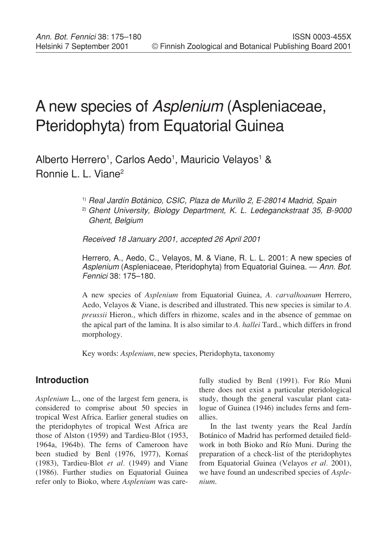# A new species of Asplenium (Aspleniaceae, Pteridophyta) from Equatorial Guinea

Alberto Herrero<sup>1</sup>, Carlos Aedo<sup>1</sup>, Mauricio Velayos<sup>1</sup> & Ronnie L. L. Viane2

1) Real Jardín Botánico, CSIC, Plaza de Murillo 2, E-28014 Madrid, Spain

2) Ghent University, Biology Department, K. L. Ledeganckstraat 35, B-9000 Ghent, Belgium

Received 18 January 2001, accepted 26 April 2001

Herrero, A., Aedo, C., Velayos, M. & Viane, R. L. L. 2001: A new species of Asplenium (Aspleniaceae, Pteridophyta) from Equatorial Guinea. - Ann. Bot. Fennici 38: 175–180.

A new species of *Asplenium* from Equatorial Guinea, *A. carvalhoanum* Herrero, Aedo, Velayos & Viane, is described and illustrated. This new species is similar to *A. preussii* Hieron., which differs in rhizome, scales and in the absence of gemmae on the apical part of the lamina. It is also similar to *A. hallei* Tard., which differs in frond morphology.

Key words: *Asplenium*, new species, Pteridophyta, taxonomy

## **Introduction**

*Asplenium* L., one of the largest fern genera, is considered to comprise about 50 species in tropical West Africa. Earlier general studies on the pteridophytes of tropical West Africa are those of Alston (1959) and Tardieu-Blot (1953, 1964a, 1964b). The ferns of Cameroon have been studied by Benl (1976, 1977), Kornas (1983), Tardieu-Blot *et al.* (1949) and Viane (1986). Further studies on Equatorial Guinea refer only to Bioko, where *Asplenium* was carefully studied by Benl (1991). For Río Muni there does not exist a particular pteridological study, though the general vascular plant catalogue of Guinea (1946) includes ferns and fernallies.

In the last twenty years the Real Jardín Botánico of Madrid has performed detailed fieldwork in both Bioko and Río Muni. During the preparation of a check-list of the pteridophytes from Equatorial Guinea (Velayos *et al.* 2001), we have found an undescribed species of *Asplenium*.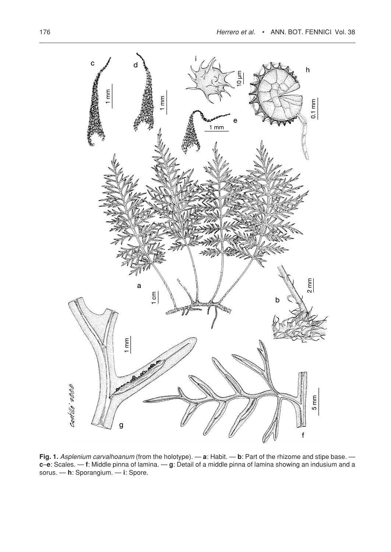

**Fig. 1.** Asplenium carvalhoanum (from the holotype). — **a**: Habit. — **b**: Part of the rhizome and stipe base. **c**–**e**: Scales. — **f**: Middle pinna of lamina. — **g**: Detail of a middle pinna of lamina showing an indusium and a sorus. — **h**: Sporangium. — **i**: Spore.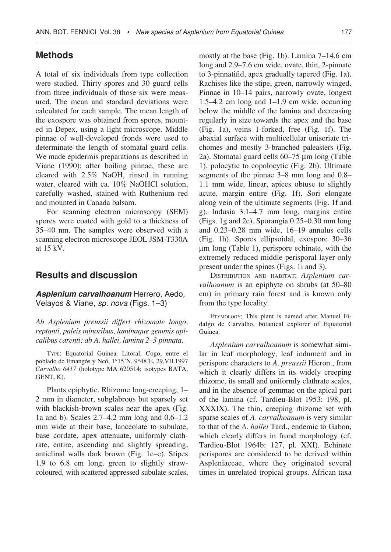### **Methods**

A total of six individuals from type collection were studied. Thirty spores and 30 guard cells from three individuals of those six were measured. The mean and standard deviations were calculated for each sample. The mean length of the exospore was obtained from spores, mounted in Depex, using a light microscope. Middle pinnae of well-developed fronds were used to determinate the length of stomatal guard cells. We made epidermis preparations as described in Viane (1990): after boiling pinnae, these are cleared with 2.5% NaOH, rinsed in running water, cleared with ca. 10% NaOHCl solution, carefully washed, stained with Ruthenium red and mounted in Canada balsam.

For scanning electron microscopy (SEM) spores were coated with gold to a thickness of 35–40 nm. The samples were observed with a scanning electron microscope JEOL JSM-T330A at 15 kV.

#### **Results and discussion**

**Asplenium carvalhoanum** Herrero, Aedo, Velayos & Viane, sp. nova (Figs. 1–3)

*Ab Asplenium preussii differt rhizomate longo, reptanti, paleis minoribus, laminaque gemmis apicalibus carenti; ab A. hallei, lamina 2–3 pinnata.*

TYPE: Equatorial Guinea. Litoral, Cogo, entre el poblado de Emangós y Ncó, 1°15´N, 9°48´E, 29.VII.1997 *Carvalho 6417* (holotype MA 620514; isotypes BATA, GENT, K).

Plants epiphytic. Rhizome long-creeping, 1– 2 mm in diameter, subglabrous but sparsely set with blackish-brown scales near the apex (Fig. 1a and b). Scales 2.7–4.2 mm long and 0.6–1.2 mm wide at their base, lanceolate to subulate, base cordate, apex attenuate, uniformly clathrate, entire, ascending and slightly spreading, anticlinal walls dark brown (Fig. 1c–e). Stipes 1.9 to 6.8 cm long, green to slightly strawcoloured, with scattered appressed subulate scales, mostly at the base (Fig. 1b). Lamina 7–14.6 cm long and 2.9–7.6 cm wide, ovate, thin, 2-pinnate to 3-pinnatifid, apex gradually tapered (Fig. 1a). Rachises like the stipe, green, narrowly winged. Pinnae in 10–14 pairs, narrowly ovate, longest 1.5–4.2 cm long and 1–1.9 cm wide, occurring below the middle of the lamina and decreasing regularly in size towards the apex and the base (Fig. 1a), veins 1-forked, free (Fig. 1f). The abaxial surface with multicellular uniseriate trichomes and mostly 3-branched paleasters (Fig. 2a). Stomatal guard cells 60–75 µm long (Table 1), polocytic to copolocytic (Fig. 2b). Ultimate segments of the pinnae 3–8 mm long and 0.8– 1.1 mm wide, linear, apices obtuse to slightly acute, margin entire (Fig. 1f). Sori elongate along vein of the ultimate segments (Fig. 1f and g). Indusia 3.1–4.7 mm long, margins entire (Figs. 1g and 2c). Sporangia 0.25–0.30 mm long and 0.23–0.28 mm wide, 16–19 annulus cells (Fig. 1h). Spores ellipsoidal, exospore 30–36 µm long (Table 1), perispore echinate, with the extremely reduced middle perisporal layer only present under the spines (Figs. 1i and 3).

DISTRIBUTION AND HABITAT: *Asplenium carvalhoanum* is an epiphyte on shrubs (at 50–80 cm) in primary rain forest and is known only from the type locality.

ETYMOLOGY: This plant is named after Manuel Fidalgo de Carvalho, botanical explorer of Equatorial Guinea.

*Asplenium carvalhoanum* is somewhat similar in leaf morphology, leaf indument and in perispore characters to *A. preussii* Hieron., from which it clearly differs in its widely creeping rhizome, its small and uniformly clathrate scales, and in the absence of gemmae on the apical part of the lamina (cf. Tardieu-Blot 1953: 198, pl. XXXIX). The thin, creeping rhizome set with sparse scales of *A. carvalhoanum* is very similar to that of the *A. hallei* Tard., endemic to Gabon, which clearly differs in frond morphology (cf. Tardieu-Blot 1964b: 127, pl. XXI). Echinate perispores are considered to be derived within Aspleniaceae, where they originated several times in unrelated tropical groups. African taxa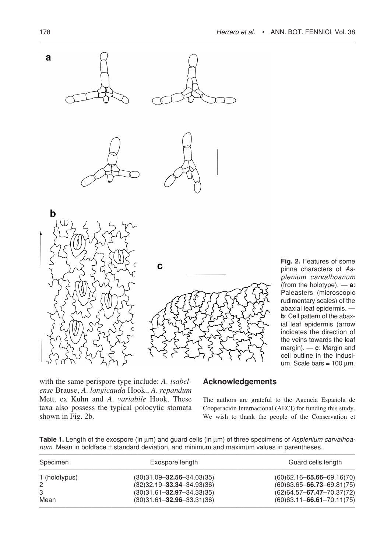

**Fig. 2.** Features of some pinna characters of Asplenium carvalhoanum (from the holotype). — **a**: Paleasters (microscopic rudimentary scales) of the abaxial leaf epidermis. **b**: Cell pattern of the abaxial leaf epidermis (arrow indicates the direction of the veins towards the leaf margin). — **c**: Margin and cell outline in the indusium. Scale bars =  $100 \mu m$ .

with the same perispore type include: *A. isabelense* Brause, *A. longicauda* Hook., *A. repandum* Mett. ex Kuhn and *A. variabile* Hook. These taxa also possess the typical polocytic stomata shown in Fig. 2b.

#### **Acknowledgements**

The authors are grateful to the Agencia Española de Cooperación Internacional (AECI) for funding this study. We wish to thank the people of the Conservation et

Table 1. Length of the exospore (in  $\mu$ m) and guard cells (in  $\mu$ m) of three specimens of Asplenium carvalhoa $num$ . Mean in boldface  $\pm$  standard deviation, and minimum and maximum values in parentheses.

| Specimen      | Exospore length                 | Guard cells length           |
|---------------|---------------------------------|------------------------------|
| 1 (holotypus) | $(30)31.09 - 32.56 - 34.03(35)$ | $(60)$ 62.16-65.66-69.16(70) |
| 2             | $(32)32.19 - 33.34 - 34.93(36)$ | $(60)$ 63.65-66.73-69.81(75) |
| 3             | $(30)31.61 - 32.97 - 34.33(35)$ | $(62)$ 64.57-67.47-70.37(72) |
| Mean          | $(30)31.61 - 32.96 - 33.31(36)$ | $(60)$ 63.11-66.61-70.11(75) |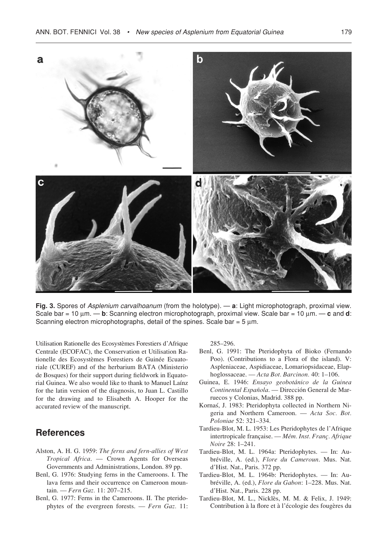

**Fig. 3.** Spores of Asplenium carvalhoanum (from the holotype). — **a**: Light microphotograph, proximal view. Scale bar = 10 µm. — **b**: Scanning electron microphotograph, proximal view. Scale bar = 10 µm. — **c** and **d**: Scanning electron microphotographs, detail of the spines. Scale bar =  $5 \mu m$ .

Utilisation Rationelle des Ecosystèmes Forestiers d'Afrique Centrale (ECOFAC), the Conservation et Utilisation Rationelle des Ecosystèmes Forestiers de Guinée Ecuatoriale (CUREF) and of the herbarium BATA (Ministerio de Bosques) for their support during fieldwork in Equatorial Guinea. We also would like to thank to Manuel Laínz for the latin version of the diagnosis, to Juan L. Castillo for the drawing and to Elisabeth A. Hooper for the accurated review of the manuscript.

### **References**

- Alston, A. H. G. 1959: *The ferns and fern-allies of West Tropical Africa*. — Crown Agents for Overseas Governments and Administrations, London. 89 pp.
- Benl, G. 1976: Studying ferns in the Cameroons. I. The lava ferns and their occurrence on Cameroon mountain. — *Fern Gaz.* 11: 207–215.
- Benl, G. 1977: Ferns in the Cameroons. II. The pteridophytes of the evergreen forests. — *Fern Gaz.* 11:

285–296.

- Benl, G. 1991: The Pteridophyta of Bioko (Fernando Poo). (Contributions to a Flora of the island). V: Aspleniaceae, Aspidiaceae, Lomariopsidaceae, Elaphoglossaceae. — *Acta Bot. Barcinon.* 40: 1–106.
- Guinea, E. 1946: *Ensayo geobotánico de la Guinea Continental Española*. — Dirección General de Marruecos y Colonias, Madrid. 388 pp.
- Kornas, J. 1983: Pteridophyta collected in Northern Nigeria and Northern Cameroon. — *Acta Soc. Bot. Poloniae* 52: 321–334.
- Tardieu-Blot, M. L. 1953: Les Pteridophytes de l'Afrique intertropicale française. — *Mém. Inst. Franç. Afrique Noire* 28: 1–241.
- Tardieu-Blot, M. L. 1964a: Pteridophytes. In: Aubréville, A. (ed.), *Flore du Cameroun*. Mus. Nat. d'Hist. Nat., Paris. 372 pp.
- Tardieu-Blot, M. L. 1964b: Pteridophytes. In: Aubréville, A. (ed.), *Flore du Gabon*: 1–228. Mus. Nat. d'Hist. Nat., Paris. 228 pp.
- Tardieu-Blot, M. L., Nicklès, M. M. & Felix, J. 1949: Contribution à la flore et à l'écologie des fougères du